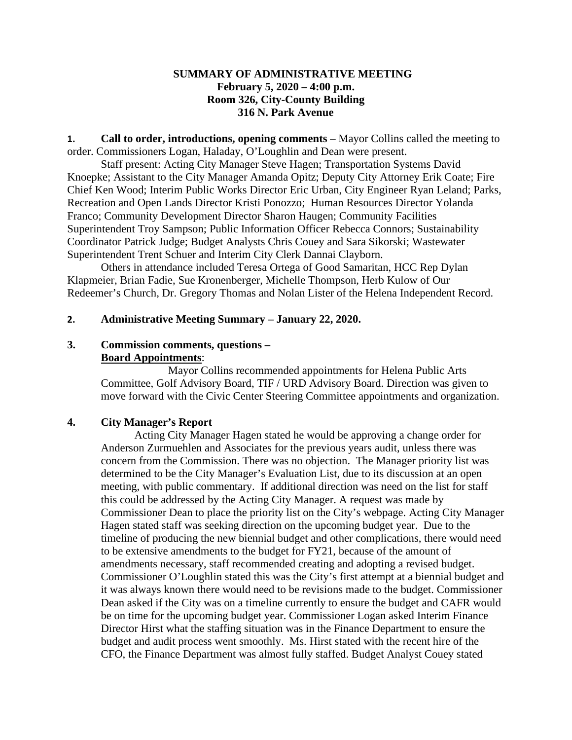## **SUMMARY OF ADMINISTRATIVE MEETING February 5, 2020 – 4:00 p.m. Room 326, City-County Building 316 N. Park Avenue**

**1. Call to order, introductions, opening comments** – Mayor Collins called the meeting to order. Commissioners Logan, Haladay, O'Loughlin and Dean were present.

Staff present: Acting City Manager Steve Hagen; Transportation Systems David Knoepke; Assistant to the City Manager Amanda Opitz; Deputy City Attorney Erik Coate; Fire Chief Ken Wood; Interim Public Works Director Eric Urban, City Engineer Ryan Leland; Parks, Recreation and Open Lands Director Kristi Ponozzo; Human Resources Director Yolanda Franco; Community Development Director Sharon Haugen; Community Facilities Superintendent Troy Sampson; Public Information Officer Rebecca Connors; Sustainability Coordinator Patrick Judge; Budget Analysts Chris Couey and Sara Sikorski; Wastewater Superintendent Trent Schuer and Interim City Clerk Dannai Clayborn.

Others in attendance included Teresa Ortega of Good Samaritan, HCC Rep Dylan Klapmeier, Brian Fadie, Sue Kronenberger, Michelle Thompson, Herb Kulow of Our Redeemer's Church, Dr. Gregory Thomas and Nolan Lister of the Helena Independent Record.

## **2. Administrative Meeting Summary – January 22, 2020.**

# **3. Commission comments, questions – Board Appointments**:

Mayor Collins recommended appointments for Helena Public Arts Committee, Golf Advisory Board, TIF / URD Advisory Board. Direction was given to move forward with the Civic Center Steering Committee appointments and organization.

## **4. City Manager's Report**

Acting City Manager Hagen stated he would be approving a change order for Anderson Zurmuehlen and Associates for the previous years audit, unless there was concern from the Commission. There was no objection. The Manager priority list was determined to be the City Manager's Evaluation List, due to its discussion at an open meeting, with public commentary. If additional direction was need on the list for staff this could be addressed by the Acting City Manager. A request was made by Commissioner Dean to place the priority list on the City's webpage. Acting City Manager Hagen stated staff was seeking direction on the upcoming budget year. Due to the timeline of producing the new biennial budget and other complications, there would need to be extensive amendments to the budget for FY21, because of the amount of amendments necessary, staff recommended creating and adopting a revised budget. Commissioner O'Loughlin stated this was the City's first attempt at a biennial budget and it was always known there would need to be revisions made to the budget. Commissioner Dean asked if the City was on a timeline currently to ensure the budget and CAFR would be on time for the upcoming budget year. Commissioner Logan asked Interim Finance Director Hirst what the staffing situation was in the Finance Department to ensure the budget and audit process went smoothly. Ms. Hirst stated with the recent hire of the CFO, the Finance Department was almost fully staffed. Budget Analyst Couey stated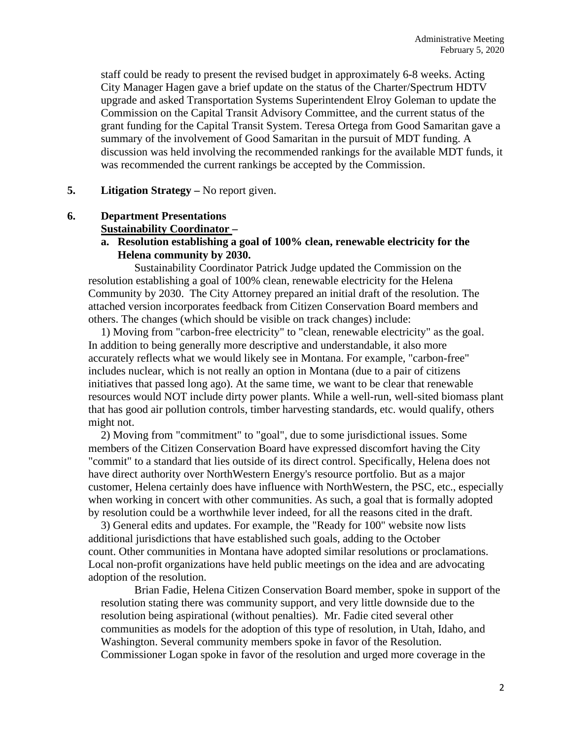staff could be ready to present the revised budget in approximately 6-8 weeks. Acting City Manager Hagen gave a brief update on the status of the Charter/Spectrum HDTV upgrade and asked Transportation Systems Superintendent Elroy Goleman to update the Commission on the Capital Transit Advisory Committee, and the current status of the grant funding for the Capital Transit System. Teresa Ortega from Good Samaritan gave a summary of the involvement of Good Samaritan in the pursuit of MDT funding. A discussion was held involving the recommended rankings for the available MDT funds, it was recommended the current rankings be accepted by the Commission.

# **5. Litigation Strategy –** No report given.

# **6. Department Presentations**

# **Sustainability Coordinator –**

**a. Resolution establishing a goal of 100% clean, renewable electricity for the Helena community by 2030.**

Sustainability Coordinator Patrick Judge updated the Commission on the resolution establishing a goal of 100% clean, renewable electricity for the Helena Community by 2030. The City Attorney prepared an initial draft of the resolution. The attached version incorporates feedback from Citizen Conservation Board members and others. The changes (which should be visible on track changes) include:

1) Moving from "carbon-free electricity" to "clean, renewable electricity" as the goal. In addition to being generally more descriptive and understandable, it also more accurately reflects what we would likely see in Montana. For example, "carbon-free" includes nuclear, which is not really an option in Montana (due to a pair of citizens initiatives that passed long ago). At the same time, we want to be clear that renewable resources would NOT include dirty power plants. While a well-run, well-sited biomass plant that has good air pollution controls, timber harvesting standards, etc. would qualify, others might not.

2) Moving from "commitment" to "goal", due to some jurisdictional issues. Some members of the Citizen Conservation Board have expressed discomfort having the City "commit" to a standard that lies outside of its direct control. Specifically, Helena does not have direct authority over NorthWestern Energy's resource portfolio. But as a major customer, Helena certainly does have influence with NorthWestern, the PSC, etc., especially when working in concert with other communities. As such, a goal that is formally adopted by resolution could be a worthwhile lever indeed, for all the reasons cited in the draft.

3) General edits and updates. For example, the "Ready for 100" website now lists additional jurisdictions that have established such goals, adding to the October count. Other communities in Montana have adopted similar resolutions or proclamations. Local non-profit organizations have held public meetings on the idea and are advocating adoption of the resolution.

Brian Fadie, Helena Citizen Conservation Board member, spoke in support of the resolution stating there was community support, and very little downside due to the resolution being aspirational (without penalties). Mr. Fadie cited several other communities as models for the adoption of this type of resolution, in Utah, Idaho, and Washington. Several community members spoke in favor of the Resolution. Commissioner Logan spoke in favor of the resolution and urged more coverage in the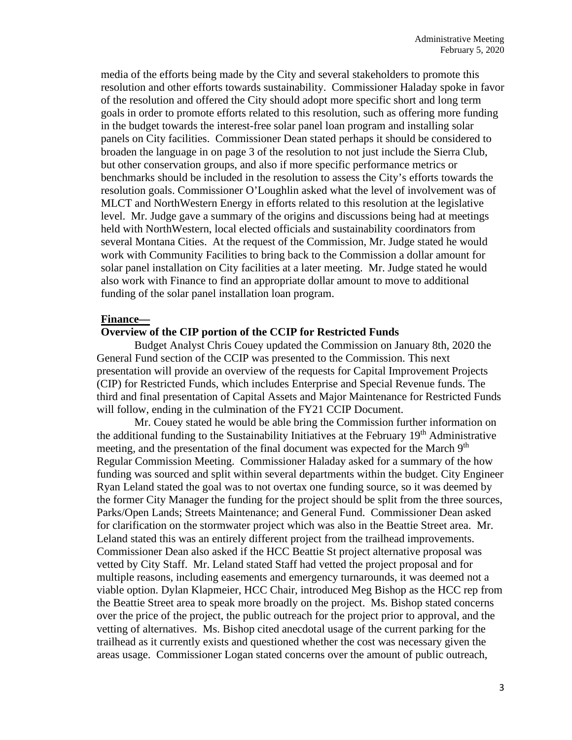media of the efforts being made by the City and several stakeholders to promote this resolution and other efforts towards sustainability. Commissioner Haladay spoke in favor of the resolution and offered the City should adopt more specific short and long term goals in order to promote efforts related to this resolution, such as offering more funding in the budget towards the interest-free solar panel loan program and installing solar panels on City facilities. Commissioner Dean stated perhaps it should be considered to broaden the language in on page 3 of the resolution to not just include the Sierra Club, but other conservation groups, and also if more specific performance metrics or benchmarks should be included in the resolution to assess the City's efforts towards the resolution goals. Commissioner O'Loughlin asked what the level of involvement was of MLCT and NorthWestern Energy in efforts related to this resolution at the legislative level. Mr. Judge gave a summary of the origins and discussions being had at meetings held with NorthWestern, local elected officials and sustainability coordinators from several Montana Cities. At the request of the Commission, Mr. Judge stated he would work with Community Facilities to bring back to the Commission a dollar amount for solar panel installation on City facilities at a later meeting. Mr. Judge stated he would also work with Finance to find an appropriate dollar amount to move to additional funding of the solar panel installation loan program.

#### **Finance—**

#### **Overview of the CIP portion of the CCIP for Restricted Funds**

Budget Analyst Chris Couey updated the Commission on January 8th, 2020 the General Fund section of the CCIP was presented to the Commission. This next presentation will provide an overview of the requests for Capital Improvement Projects (CIP) for Restricted Funds, which includes Enterprise and Special Revenue funds. The third and final presentation of Capital Assets and Major Maintenance for Restricted Funds will follow, ending in the culmination of the FY21 CCIP Document.

Mr. Couey stated he would be able bring the Commission further information on the additional funding to the Sustainability Initiatives at the February 19<sup>th</sup> Administrative meeting, and the presentation of the final document was expected for the March 9<sup>th</sup> Regular Commission Meeting. Commissioner Haladay asked for a summary of the how funding was sourced and split within several departments within the budget. City Engineer Ryan Leland stated the goal was to not overtax one funding source, so it was deemed by the former City Manager the funding for the project should be split from the three sources, Parks/Open Lands; Streets Maintenance; and General Fund. Commissioner Dean asked for clarification on the stormwater project which was also in the Beattie Street area. Mr. Leland stated this was an entirely different project from the trailhead improvements. Commissioner Dean also asked if the HCC Beattie St project alternative proposal was vetted by City Staff. Mr. Leland stated Staff had vetted the project proposal and for multiple reasons, including easements and emergency turnarounds, it was deemed not a viable option. Dylan Klapmeier, HCC Chair, introduced Meg Bishop as the HCC rep from the Beattie Street area to speak more broadly on the project. Ms. Bishop stated concerns over the price of the project, the public outreach for the project prior to approval, and the vetting of alternatives. Ms. Bishop cited anecdotal usage of the current parking for the trailhead as it currently exists and questioned whether the cost was necessary given the areas usage. Commissioner Logan stated concerns over the amount of public outreach,